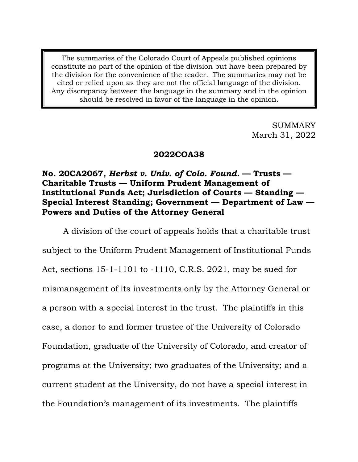The summaries of the Colorado Court of Appeals published opinions constitute no part of the opinion of the division but have been prepared by the division for the convenience of the reader. The summaries may not be cited or relied upon as they are not the official language of the division. Any discrepancy between the language in the summary and in the opinion should be resolved in favor of the language in the opinion.

> SUMMARY March 31, 2022

### **2022COA38**

# **No. 20CA2067,** *Herbst v. Univ. of Colo. Found.* **— Trusts — Charitable Trusts — Uniform Prudent Management of Institutional Funds Act; Jurisdiction of Courts — Standing — Special Interest Standing; Government — Department of Law — Powers and Duties of the Attorney General**

A division of the court of appeals holds that a charitable trust subject to the Uniform Prudent Management of Institutional Funds Act, sections 15-1-1101 to -1110, C.R.S. 2021, may be sued for mismanagement of its investments only by the Attorney General or a person with a special interest in the trust. The plaintiffs in this case, a donor to and former trustee of the University of Colorado Foundation, graduate of the University of Colorado, and creator of programs at the University; two graduates of the University; and a current student at the University, do not have a special interest in the Foundation's management of its investments. The plaintiffs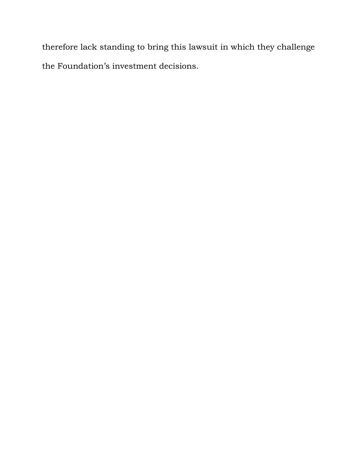therefore lack standing to bring this lawsuit in which they challenge the Foundation's investment decisions.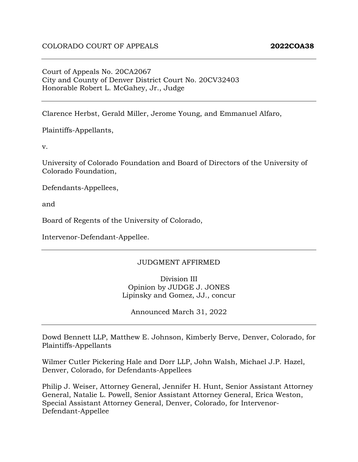### Court of Appeals No. 20CA2067 City and County of Denver District Court No. 20CV32403 Honorable Robert L. McGahey, Jr., Judge

Clarence Herbst, Gerald Miller, Jerome Young, and Emmanuel Alfaro,

Plaintiffs-Appellants,

v.

University of Colorado Foundation and Board of Directors of the University of Colorado Foundation,

Defendants-Appellees,

and

Board of Regents of the University of Colorado,

Intervenor-Defendant-Appellee.

#### JUDGMENT AFFIRMED

Division III Opinion by JUDGE J. JONES Lipinsky and Gomez, JJ., concur

Announced March 31, 2022

Dowd Bennett LLP, Matthew E. Johnson, Kimberly Berve, Denver, Colorado, for Plaintiffs-Appellants

Wilmer Cutler Pickering Hale and Dorr LLP, John Walsh, Michael J.P. Hazel, Denver, Colorado, for Defendants-Appellees

Philip J. Weiser, Attorney General, Jennifer H. Hunt, Senior Assistant Attorney General, Natalie L. Powell, Senior Assistant Attorney General, Erica Weston, Special Assistant Attorney General, Denver, Colorado, for Intervenor-Defendant-Appellee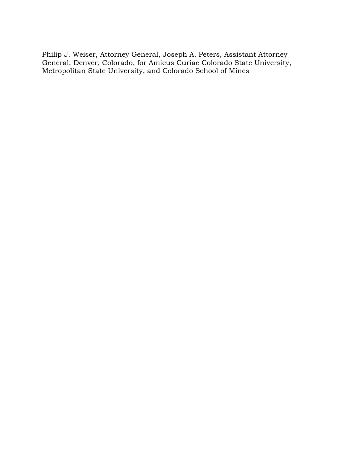Philip J. Weiser, Attorney General, Joseph A. Peters, Assistant Attorney General, Denver, Colorado, for Amicus Curiae Colorado State University, Metropolitan State University, and Colorado School of Mines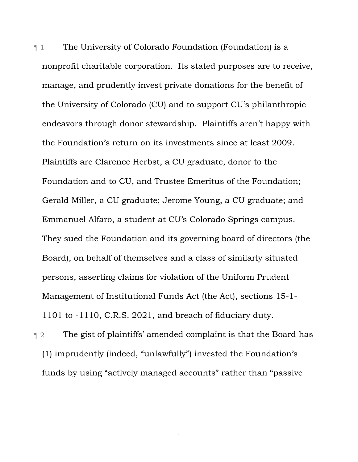¶ 1 The University of Colorado Foundation (Foundation) is a nonprofit charitable corporation. Its stated purposes are to receive, manage, and prudently invest private donations for the benefit of the University of Colorado (CU) and to support CU's philanthropic endeavors through donor stewardship. Plaintiffs aren't happy with the Foundation's return on its investments since at least 2009. Plaintiffs are Clarence Herbst, a CU graduate, donor to the Foundation and to CU, and Trustee Emeritus of the Foundation; Gerald Miller, a CU graduate; Jerome Young, a CU graduate; and Emmanuel Alfaro, a student at CU's Colorado Springs campus. They sued the Foundation and its governing board of directors (the Board), on behalf of themselves and a class of similarly situated persons, asserting claims for violation of the Uniform Prudent Management of Institutional Funds Act (the Act), sections 15-1- 1101 to -1110, C.R.S. 2021, and breach of fiduciary duty.

¶ 2 The gist of plaintiffs' amended complaint is that the Board has (1) imprudently (indeed, "unlawfully") invested the Foundation's funds by using "actively managed accounts" rather than "passive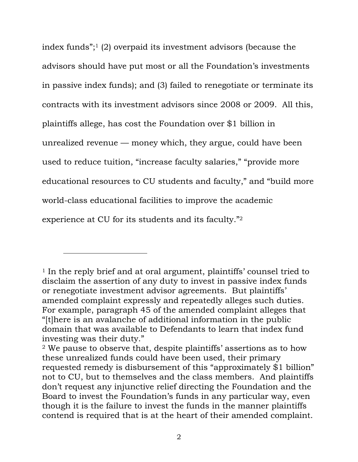index funds";1 (2) overpaid its investment advisors (because the advisors should have put most or all the Foundation's investments in passive index funds); and (3) failed to renegotiate or terminate its contracts with its investment advisors since 2008 or 2009. All this, plaintiffs allege, has cost the Foundation over \$1 billion in unrealized revenue — money which, they argue, could have been used to reduce tuition, "increase faculty salaries," "provide more educational resources to CU students and faculty," and "build more world-class educational facilities to improve the academic experience at CU for its students and its faculty."2

<sup>1</sup> In the reply brief and at oral argument, plaintiffs' counsel tried to disclaim the assertion of any duty to invest in passive index funds or renegotiate investment advisor agreements. But plaintiffs' amended complaint expressly and repeatedly alleges such duties. For example, paragraph 45 of the amended complaint alleges that "[t]here is an avalanche of additional information in the public domain that was available to Defendants to learn that index fund investing was their duty."

<sup>2</sup> We pause to observe that, despite plaintiffs' assertions as to how these unrealized funds could have been used, their primary requested remedy is disbursement of this "approximately \$1 billion" not to CU, but to themselves and the class members. And plaintiffs don't request any injunctive relief directing the Foundation and the Board to invest the Foundation's funds in any particular way, even though it is the failure to invest the funds in the manner plaintiffs contend is required that is at the heart of their amended complaint.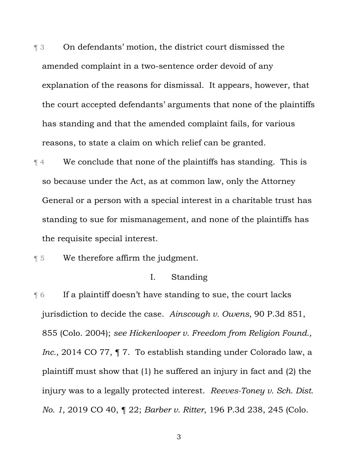¶ 3 On defendants' motion, the district court dismissed the amended complaint in a two-sentence order devoid of any explanation of the reasons for dismissal. It appears, however, that the court accepted defendants' arguments that none of the plaintiffs has standing and that the amended complaint fails, for various reasons, to state a claim on which relief can be granted.

¶ 4 We conclude that none of the plaintiffs has standing. This is so because under the Act, as at common law, only the Attorney General or a person with a special interest in a charitable trust has standing to sue for mismanagement, and none of the plaintiffs has the requisite special interest.

¶ 5 We therefore affirm the judgment.

# I. Standing

¶ 6 If a plaintiff doesn't have standing to sue, the court lacks jurisdiction to decide the case. *Ainscough v. Owens*, 90 P.3d 851, 855 (Colo. 2004); *see Hickenlooper v. Freedom from Religion Found., Inc.*, 2014 CO 77, ¶ 7. To establish standing under Colorado law, a plaintiff must show that (1) he suffered an injury in fact and (2) the injury was to a legally protected interest. *Reeves-Toney v. Sch. Dist. No. 1*, 2019 CO 40, ¶ 22; *Barber v. Ritter*, 196 P.3d 238, 245 (Colo.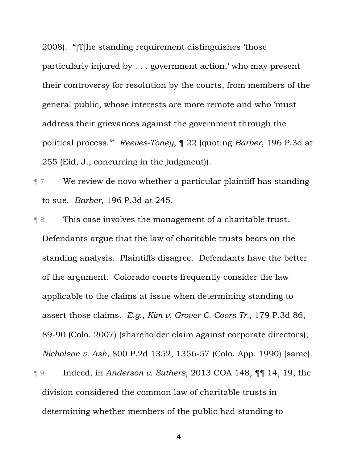2008). "[T]he standing requirement distinguishes 'those particularly injured by . . . government action,' who may present their controversy for resolution by the courts, from members of the general public, whose interests are more remote and who 'must address their grievances against the government through the political process.'" *Reeves-Toney*, ¶ 22 (quoting *Barber*, 196 P.3d at 255 (Eid, J., concurring in the judgment)).

¶ 7 We review de novo whether a particular plaintiff has standing to sue. *Barber*, 196 P.3d at 245.

¶ 8 This case involves the management of a charitable trust. Defendants argue that the law of charitable trusts bears on the standing analysis. Plaintiffs disagree. Defendants have the better of the argument. Colorado courts frequently consider the law applicable to the claims at issue when determining standing to assert those claims. *E.g.*, *Kim v. Grover C. Coors Tr.*, 179 P.3d 86, 89-90 (Colo. 2007) (shareholder claim against corporate directors); *Nicholson v. Ash*, 800 P.2d 1352, 1356-57 (Colo. App. 1990) (same).

¶ 9 Indeed, in *Anderson v. Suthers*, 2013 COA 148, ¶¶ 14, 19, the division considered the common law of charitable trusts in determining whether members of the public had standing to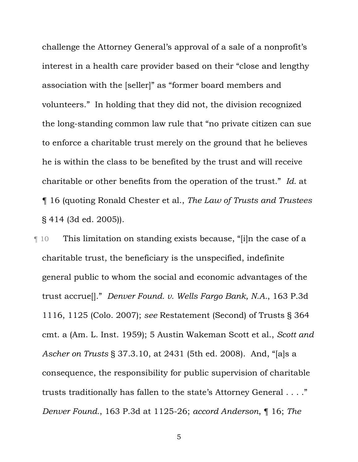challenge the Attorney General's approval of a sale of a nonprofit's interest in a health care provider based on their "close and lengthy association with the [seller]" as "former board members and volunteers." In holding that they did not, the division recognized the long-standing common law rule that "no private citizen can sue to enforce a charitable trust merely on the ground that he believes he is within the class to be benefited by the trust and will receive charitable or other benefits from the operation of the trust." *Id.* at ¶ 16 (quoting Ronald Chester et al., *The Law of Trusts and Trustees* § 414 (3d ed. 2005)).

¶ 10 This limitation on standing exists because, "[i]n the case of a charitable trust, the beneficiary is the unspecified, indefinite general public to whom the social and economic advantages of the trust accrue[]." *Denver Found. v. Wells Fargo Bank, N.A.*, 163 P.3d 1116, 1125 (Colo. 2007); *see* Restatement (Second) of Trusts § 364 cmt. a (Am. L. Inst. 1959); 5 Austin Wakeman Scott et al., *Scott and Ascher on Trusts* § 37.3.10, at 2431 (5th ed. 2008). And, "[a]s a consequence, the responsibility for public supervision of charitable trusts traditionally has fallen to the state's Attorney General . . . ." *Denver Found.*, 163 P.3d at 1125-26; *accord Anderson*, ¶ 16; *The*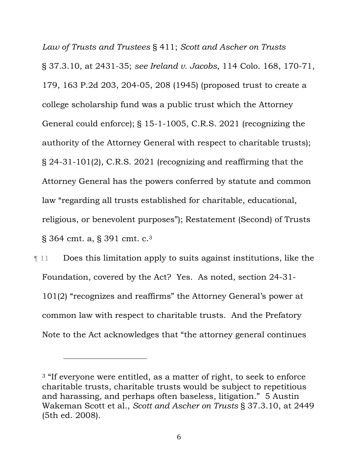*Law of Trusts and Trustees* § 411; *Scott and Ascher on Trusts* § 37.3.10, at 2431-35; *see Ireland v. Jacobs*, 114 Colo. 168, 170-71, 179, 163 P.2d 203, 204-05, 208 (1945) (proposed trust to create a college scholarship fund was a public trust which the Attorney General could enforce); § 15-1-1005, C.R.S. 2021 (recognizing the authority of the Attorney General with respect to charitable trusts); § 24-31-101(2), C.R.S. 2021 (recognizing and reaffirming that the Attorney General has the powers conferred by statute and common law "regarding all trusts established for charitable, educational, religious, or benevolent purposes"); Restatement (Second) of Trusts § 364 cmt. a, § 391 cmt. c.3

¶ 11 Does this limitation apply to suits against institutions, like the Foundation, covered by the Act? Yes. As noted, section 24-31- 101(2) "recognizes and reaffirms" the Attorney General's power at common law with respect to charitable trusts. And the Prefatory Note to the Act acknowledges that "the attorney general continues

<sup>&</sup>lt;sup>3</sup> "If everyone were entitled, as a matter of right, to seek to enforce charitable trusts, charitable trusts would be subject to repetitious and harassing, and perhaps often baseless, litigation." 5 Austin Wakeman Scott et al., *Scott and Ascher on Trusts* § 37.3.10, at 2449 (5th ed. 2008).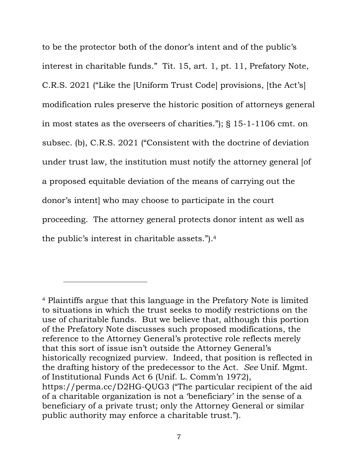to be the protector both of the donor's intent and of the public's interest in charitable funds." Tit. 15, art. 1, pt. 11, Prefatory Note, C.R.S. 2021 ("Like the [Uniform Trust Code] provisions, [the Act's] modification rules preserve the historic position of attorneys general in most states as the overseers of charities."); § 15-1-1106 cmt. on subsec. (b), C.R.S. 2021 ("Consistent with the doctrine of deviation under trust law, the institution must notify the attorney general [of a proposed equitable deviation of the means of carrying out the donor's intent] who may choose to participate in the court proceeding. The attorney general protects donor intent as well as the public's interest in charitable assets.").4

<sup>4</sup> Plaintiffs argue that this language in the Prefatory Note is limited to situations in which the trust seeks to modify restrictions on the use of charitable funds. But we believe that, although this portion of the Prefatory Note discusses such proposed modifications, the reference to the Attorney General's protective role reflects merely that this sort of issue isn't outside the Attorney General's historically recognized purview. Indeed, that position is reflected in the drafting history of the predecessor to the Act. *See* Unif. Mgmt. of Institutional Funds Act 6 (Unif. L. Comm'n 1972), https://perma.cc/D2HG-QUG3 ("The particular recipient of the aid of a charitable organization is not a 'beneficiary' in the sense of a beneficiary of a private trust; only the Attorney General or similar public authority may enforce a charitable trust.").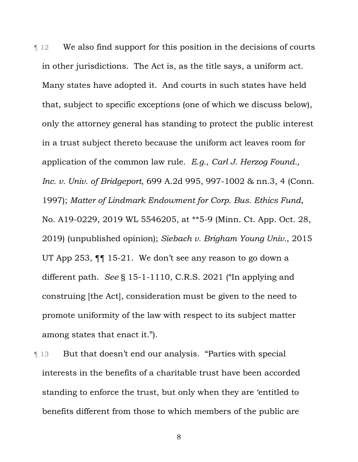¶ 12 We also find support for this position in the decisions of courts in other jurisdictions. The Act is, as the title says, a uniform act. Many states have adopted it. And courts in such states have held that, subject to specific exceptions (one of which we discuss below), only the attorney general has standing to protect the public interest in a trust subject thereto because the uniform act leaves room for application of the common law rule. *E.g.*, *Carl J. Herzog Found., Inc. v. Univ. of Bridgeport*, 699 A.2d 995, 997-1002 & nn.3, 4 (Conn. 1997); *Matter of Lindmark Endowment for Corp. Bus. Ethics Fund*, No. A19-0229, 2019 WL 5546205, at \*\*5-9 (Minn. Ct. App. Oct. 28, 2019) (unpublished opinion); *Siebach v. Brigham Young Univ.*, 2015 UT App 253, ¶¶ 15-21. We don't see any reason to go down a different path. *See* § 15-1-1110, C.R.S. 2021 ("In applying and construing [the Act], consideration must be given to the need to promote uniformity of the law with respect to its subject matter among states that enact it.").

**Text** 13 But that doesn't end our analysis. "Parties with special interests in the benefits of a charitable trust have been accorded standing to enforce the trust, but only when they are 'entitled to benefits different from those to which members of the public are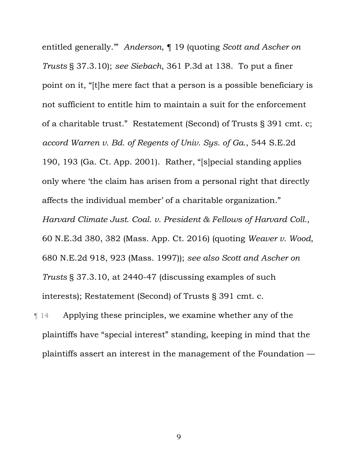entitled generally.'" *Anderson*, ¶ 19 (quoting *Scott and Ascher on Trusts* § 37.3.10); *see Siebach*, 361 P.3d at 138. To put a finer point on it, "[t]he mere fact that a person is a possible beneficiary is not sufficient to entitle him to maintain a suit for the enforcement of a charitable trust." Restatement (Second) of Trusts § 391 cmt. c; *accord Warren v. Bd. of Regents of Univ. Sys. of Ga.*, 544 S.E.2d 190, 193 (Ga. Ct. App. 2001). Rather, "[s]pecial standing applies only where 'the claim has arisen from a personal right that directly affects the individual member' of a charitable organization." *Harvard Climate Just. Coal. v. President & Fellows of Harvard Coll.*, 60 N.E.3d 380, 382 (Mass. App. Ct. 2016) (quoting *Weaver v. Wood*, 680 N.E.2d 918, 923 (Mass. 1997)); *see also Scott and Ascher on Trusts* § 37.3.10, at 2440-47 (discussing examples of such interests); Restatement (Second) of Trusts § 391 cmt. c.

¶ 14 Applying these principles, we examine whether any of the plaintiffs have "special interest" standing, keeping in mind that the plaintiffs assert an interest in the management of the Foundation —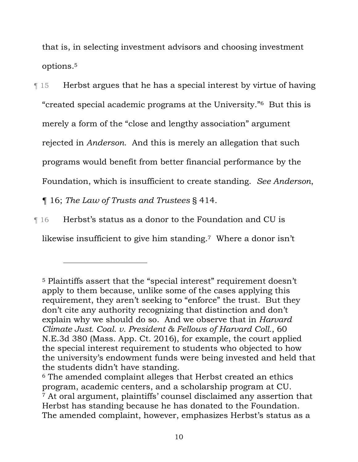that is, in selecting investment advisors and choosing investment options.5

¶ 15 Herbst argues that he has a special interest by virtue of having "created special academic programs at the University."6 But this is merely a form of the "close and lengthy association" argument rejected in *Anderson*. And this is merely an allegation that such programs would benefit from better financial performance by the Foundation, which is insufficient to create standing. *See Anderson*,

¶ 16; *The Law of Trusts and Trustees* § 414.

¶ 16 Herbst's status as a donor to the Foundation and CU is likewise insufficient to give him standing.<sup>7</sup> Where a donor isn't

<sup>5</sup> Plaintiffs assert that the "special interest" requirement doesn't apply to them because, unlike some of the cases applying this requirement, they aren't seeking to "enforce" the trust. But they don't cite any authority recognizing that distinction and don't explain why we should do so. And we observe that in *Harvard Climate Just. Coal. v. President & Fellows of Harvard Coll.*, 60 N.E.3d 380 (Mass. App. Ct. 2016), for example, the court applied the special interest requirement to students who objected to how the university's endowment funds were being invested and held that the students didn't have standing.

<sup>6</sup> The amended complaint alleges that Herbst created an ethics program, academic centers, and a scholarship program at CU. <sup>7</sup> At oral argument, plaintiffs' counsel disclaimed any assertion that Herbst has standing because he has donated to the Foundation. The amended complaint, however, emphasizes Herbst's status as a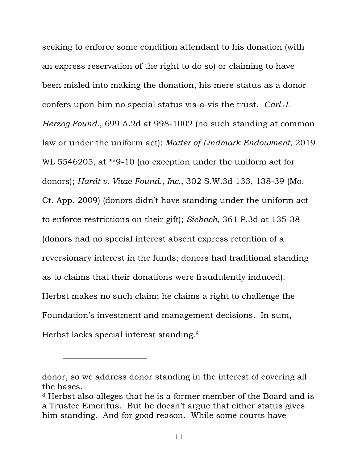seeking to enforce some condition attendant to his donation (with an express reservation of the right to do so) or claiming to have been misled into making the donation, his mere status as a donor confers upon him no special status vis-a-vis the trust. *Carl J. Herzog Found.*, 699 A.2d at 998-1002 (no such standing at common law or under the uniform act); *Matter of Lindmark Endowment*, 2019 WL 5546205, at \*\*9-10 (no exception under the uniform act for donors); *Hardt v. Vitae Found., Inc.*, 302 S.W.3d 133, 138-39 (Mo. Ct. App. 2009) (donors didn't have standing under the uniform act to enforce restrictions on their gift); *Siebach*, 361 P.3d at 135-38 (donors had no special interest absent express retention of a reversionary interest in the funds; donors had traditional standing as to claims that their donations were fraudulently induced). Herbst makes no such claim; he claims a right to challenge the Foundation's investment and management decisions. In sum, Herbst lacks special interest standing.<sup>8</sup>

donor, so we address donor standing in the interest of covering all the bases.

<sup>8</sup> Herbst also alleges that he is a former member of the Board and is a Trustee Emeritus. But he doesn't argue that either status gives him standing. And for good reason. While some courts have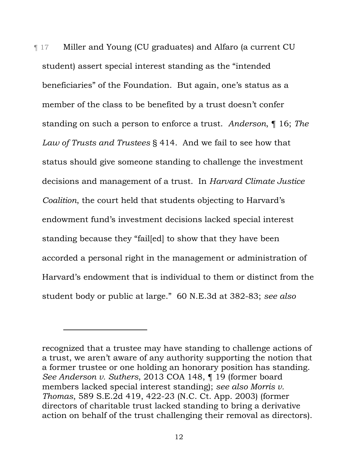¶ 17 Miller and Young (CU graduates) and Alfaro (a current CU student) assert special interest standing as the "intended beneficiaries" of the Foundation. But again, one's status as a member of the class to be benefited by a trust doesn't confer standing on such a person to enforce a trust. *Anderson*, ¶ 16; *The Law of Trusts and Trustees* § 414. And we fail to see how that status should give someone standing to challenge the investment decisions and management of a trust. In *Harvard Climate Justice Coalition*, the court held that students objecting to Harvard's endowment fund's investment decisions lacked special interest standing because they "fail[ed] to show that they have been accorded a personal right in the management or administration of Harvard's endowment that is individual to them or distinct from the student body or public at large." 60 N.E.3d at 382-83; *see also* 

recognized that a trustee may have standing to challenge actions of a trust, we aren't aware of any authority supporting the notion that a former trustee or one holding an honorary position has standing. *See Anderson v. Suthers*, 2013 COA 148, ¶ 19 (former board members lacked special interest standing); *see also Morris v. Thomas*, 589 S.E.2d 419, 422-23 (N.C. Ct. App. 2003) (former directors of charitable trust lacked standing to bring a derivative action on behalf of the trust challenging their removal as directors).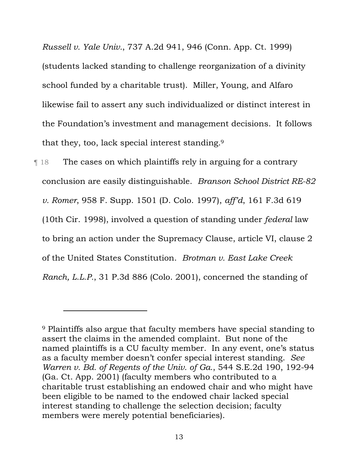*Russell v. Yale Univ.*, 737 A.2d 941, 946 (Conn. App. Ct. 1999) (students lacked standing to challenge reorganization of a divinity school funded by a charitable trust). Miller, Young, and Alfaro likewise fail to assert any such individualized or distinct interest in the Foundation's investment and management decisions. It follows that they, too, lack special interest standing.9

¶ 18 The cases on which plaintiffs rely in arguing for a contrary conclusion are easily distinguishable. *Branson School District RE-82 v. Romer*, 958 F. Supp. 1501 (D. Colo. 1997), *aff'd*, 161 F.3d 619 (10th Cir. 1998), involved a question of standing under *federal* law to bring an action under the Supremacy Clause, article VI, clause 2 of the United States Constitution. *Brotman v. East Lake Creek Ranch, L.L.P.*, 31 P.3d 886 (Colo. 2001), concerned the standing of

<sup>9</sup> Plaintiffs also argue that faculty members have special standing to assert the claims in the amended complaint. But none of the named plaintiffs is a CU faculty member. In any event, one's status as a faculty member doesn't confer special interest standing. *See Warren v. Bd. of Regents of the Univ. of Ga.*, 544 S.E.2d 190, 192-94 (Ga. Ct. App. 2001) (faculty members who contributed to a charitable trust establishing an endowed chair and who might have been eligible to be named to the endowed chair lacked special interest standing to challenge the selection decision; faculty members were merely potential beneficiaries).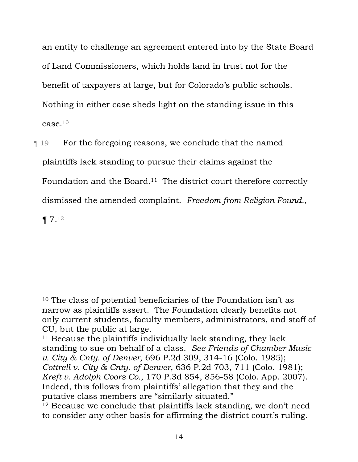an entity to challenge an agreement entered into by the State Board of Land Commissioners, which holds land in trust not for the benefit of taxpayers at large, but for Colorado's public schools. Nothing in either case sheds light on the standing issue in this case.10

¶ 19 For the foregoing reasons, we conclude that the named plaintiffs lack standing to pursue their claims against the Foundation and the Board.<sup>11</sup> The district court therefore correctly dismissed the amended complaint. *Freedom from Religion Found.*, ¶ 7.12

<sup>10</sup> The class of potential beneficiaries of the Foundation isn't as narrow as plaintiffs assert. The Foundation clearly benefits not only current students, faculty members, administrators, and staff of CU, but the public at large.

<sup>&</sup>lt;sup>11</sup> Because the plaintiffs individually lack standing, they lack standing to sue on behalf of a class. *See Friends of Chamber Music v. City & Cnty. of Denver*, 696 P.2d 309, 314-16 (Colo. 1985); *Cottrell v. City & Cnty. of Denver*, 636 P.2d 703, 711 (Colo. 1981); *Kreft v. Adolph Coors Co.*, 170 P.3d 854, 856-58 (Colo. App. 2007). Indeed, this follows from plaintiffs' allegation that they and the putative class members are "similarly situated."

<sup>&</sup>lt;sup>12</sup> Because we conclude that plaintiffs lack standing, we don't need to consider any other basis for affirming the district court's ruling.